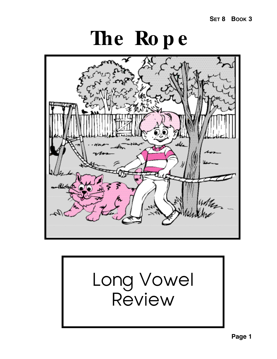**SET 8 BOOK 3**

# **The Ro p e**



# Long Vowel Review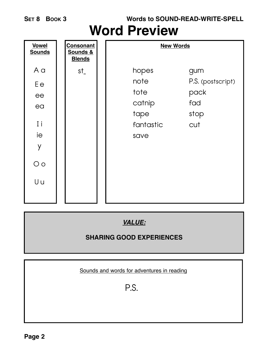**Words to SOUND-READ-WRITE-SPELL**

### **Word Preview**



#### *VALUE:*

#### **SHARING GOOD EXPERIENCES**

Sounds and words for adventures in reading

P.S.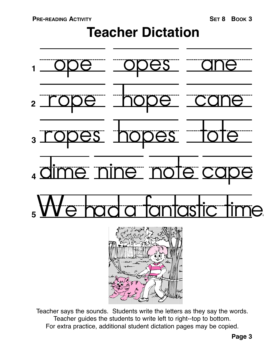# **Teacher Dictation**



Teacher says the sounds. Students write the letters as they say the words. Teacher guides the students to write left to right--top to bottom. For extra practice, additional student dictation pages may be copied.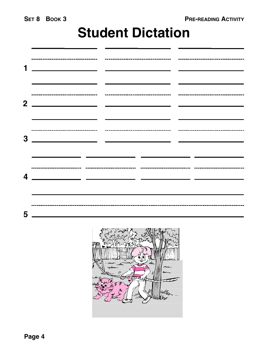## **Student Dictation**

|                |                                                                                 |  | <u> Andrew Marian (1989)</u> |  |
|----------------|---------------------------------------------------------------------------------|--|------------------------------|--|
| 2 <sup>1</sup> | <u> 2000 - Andrea Andrew Maria (h. 1982).</u><br>2001 - Andrew Maria (h. 1982). |  |                              |  |
| 3              |                                                                                 |  |                              |  |
| 4              | <u> 1989 - Andrea Andrew Maria (h. 1989).</u>                                   |  |                              |  |
| 5              | <u> 1980 - John Stein, Amerikaansk politiker (</u>                              |  |                              |  |

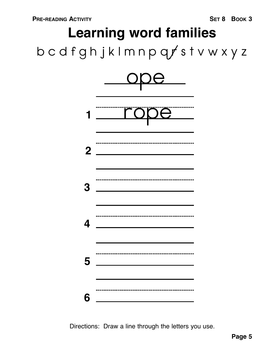# b c d f g h j k l m n p q  $f$  s t v w x y z **Learning word families**



Directions: Draw a line through the letters you use.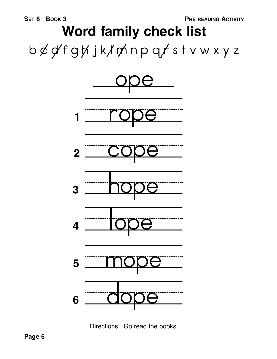# b ¢ d f g h j k l m n p q r s t v w x y z **Word family check list**



Directions: Go read the books.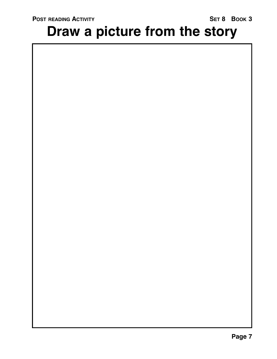# **Draw a picture from the story**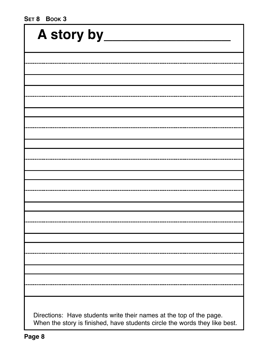| A story by                                                                                                                                        |  |  |  |  |  |  |
|---------------------------------------------------------------------------------------------------------------------------------------------------|--|--|--|--|--|--|
|                                                                                                                                                   |  |  |  |  |  |  |
|                                                                                                                                                   |  |  |  |  |  |  |
|                                                                                                                                                   |  |  |  |  |  |  |
|                                                                                                                                                   |  |  |  |  |  |  |
|                                                                                                                                                   |  |  |  |  |  |  |
|                                                                                                                                                   |  |  |  |  |  |  |
|                                                                                                                                                   |  |  |  |  |  |  |
|                                                                                                                                                   |  |  |  |  |  |  |
|                                                                                                                                                   |  |  |  |  |  |  |
|                                                                                                                                                   |  |  |  |  |  |  |
|                                                                                                                                                   |  |  |  |  |  |  |
|                                                                                                                                                   |  |  |  |  |  |  |
|                                                                                                                                                   |  |  |  |  |  |  |
|                                                                                                                                                   |  |  |  |  |  |  |
|                                                                                                                                                   |  |  |  |  |  |  |
|                                                                                                                                                   |  |  |  |  |  |  |
|                                                                                                                                                   |  |  |  |  |  |  |
| Directions: Have students write their names at the top of the page.<br>When the story is finished, have students circle the words they like best. |  |  |  |  |  |  |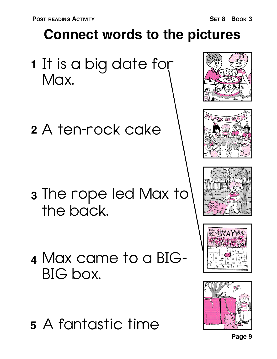# **Connect words to the pictures**

- **1** It is a big date for Max.
- A ten-rock cake **2**

- **3** The rope led Max to the back.
- Max came to a BIG-**4** BIG box.
- A fantastic time **5**











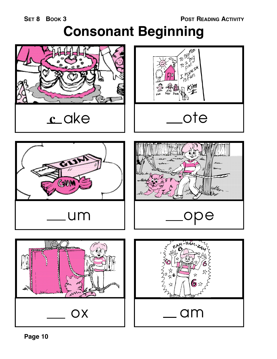## **Consonant Beginning**

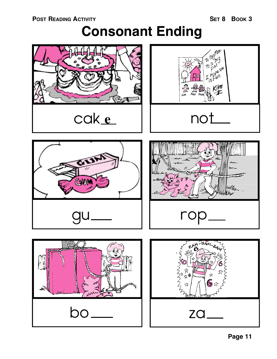# **Consonant Ending**

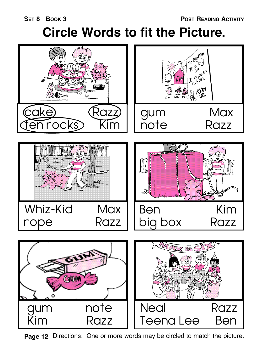#### **SET 8 BOOK 3**

# **Circle Words to fit the Picture.**



**Page 12** Directions: One or more words may be circled to match the picture.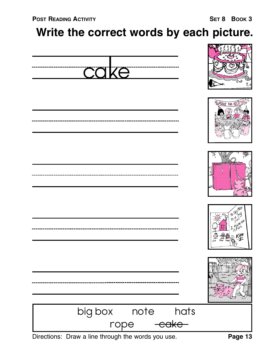### **Write the correct words by each picture.**













| big box |      | note | hats              |  |
|---------|------|------|-------------------|--|
|         | rone |      | <del>cake -</del> |  |

Directions: Draw a line through the words you use.